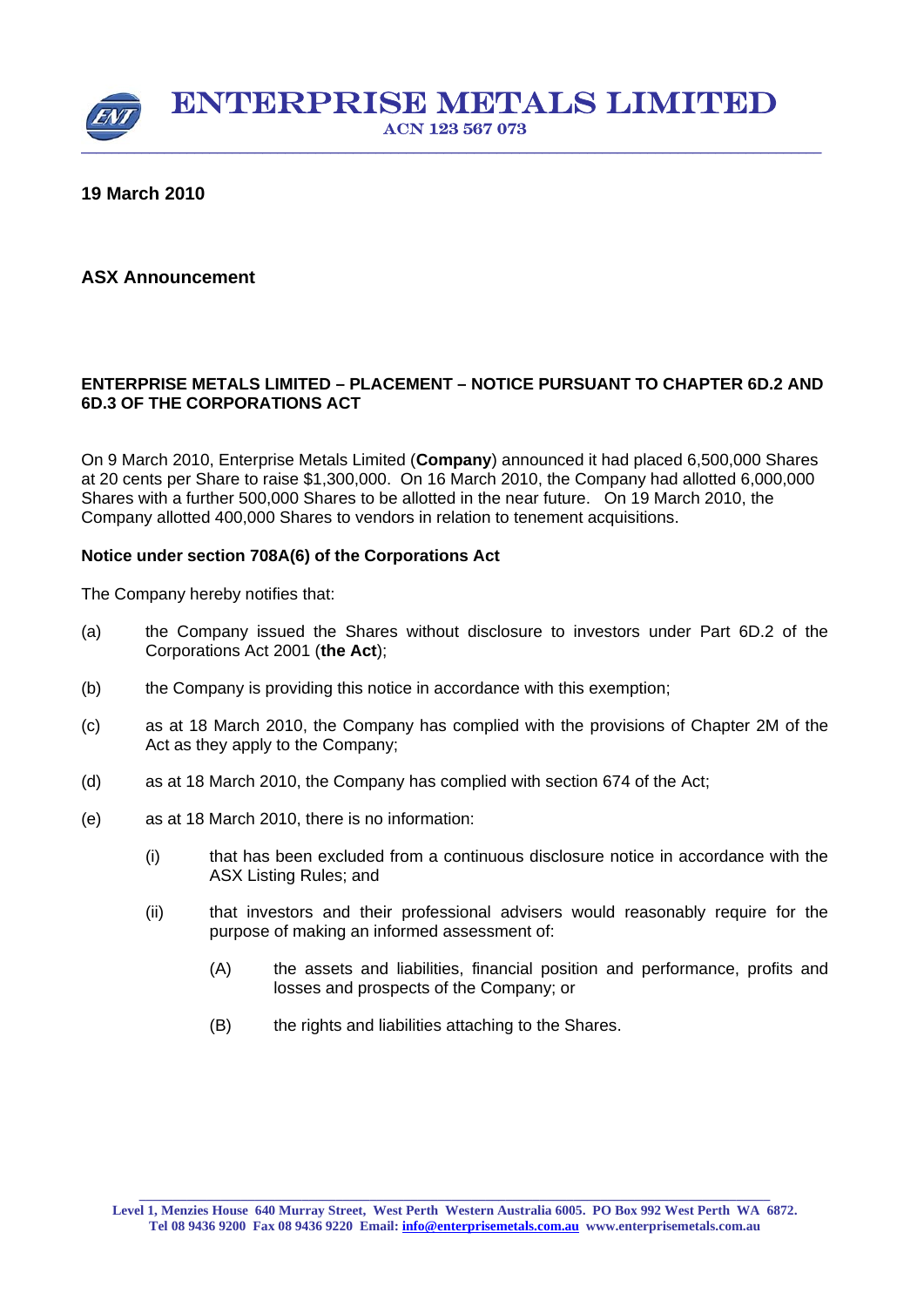

## **19 March 2010**

## **ASX Announcement**

### **ENTERPRISE METALS LIMITED – PLACEMENT – NOTICE PURSUANT TO CHAPTER 6D.2 AND 6D.3 OF THE CORPORATIONS ACT**

On 9 March 2010, Enterprise Metals Limited (**Company**) announced it had placed 6,500,000 Shares at 20 cents per Share to raise \$1,300,000. On 16 March 2010, the Company had allotted 6,000,000 Shares with a further 500,000 Shares to be allotted in the near future. On 19 March 2010, the Company allotted 400,000 Shares to vendors in relation to tenement acquisitions.

#### **Notice under section 708A(6) of the Corporations Act**

The Company hereby notifies that:

- (a) the Company issued the Shares without disclosure to investors under Part 6D.2 of the Corporations Act 2001 (**the Act**);
- (b) the Company is providing this notice in accordance with this exemption;
- (c) as at 18 March 2010, the Company has complied with the provisions of Chapter 2M of the Act as they apply to the Company;
- (d) as at 18 March 2010, the Company has complied with section 674 of the Act;
- (e) as at 18 March 2010, there is no information:
	- (i) that has been excluded from a continuous disclosure notice in accordance with the ASX Listing Rules; and
	- (ii) that investors and their professional advisers would reasonably require for the purpose of making an informed assessment of:
		- (A) the assets and liabilities, financial position and performance, profits and losses and prospects of the Company; or
		- (B) the rights and liabilities attaching to the Shares.